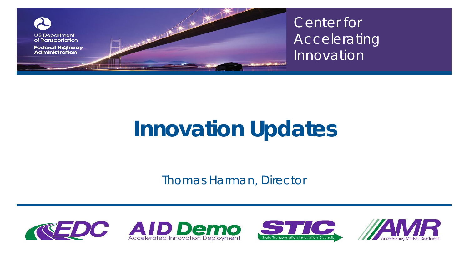

Center for Accelerating Innovation

# **Innovation Updates**

*Thomas Harman, Director*







Center for Accelerating Innovation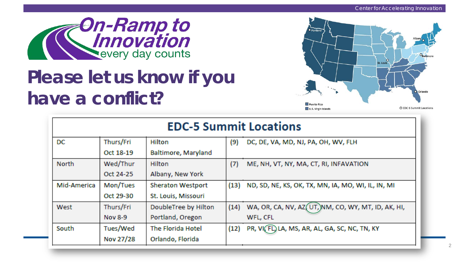

### *Please let us know if you have a conflict?*



| <b>EDC-5 Summit Locations</b> |                |                          |      |                                                     |  |  |  |
|-------------------------------|----------------|--------------------------|------|-----------------------------------------------------|--|--|--|
| DC                            | Thurs/Fri      | Hilton                   | (9)  | DC, DE, VA, MD, NJ, PA, OH, WV, FLH                 |  |  |  |
|                               | Oct 18-19      | Baltimore, Maryland      |      |                                                     |  |  |  |
| <b>North</b>                  | Wed/Thur       | Hilton                   | (7)  | ME, NH, VT, NY, MA, CT, RI, INFAVATION              |  |  |  |
|                               | Oct 24-25      | Albany, New York         |      |                                                     |  |  |  |
| Mid-America                   | Mon/Tues       | <b>Sheraton Westport</b> | (13) | ND, SD, NE, KS, OK, TX, MN, IA, MO, WI, IL, IN, MI  |  |  |  |
|                               | Oct 29-30      | St. Louis, Missouri      |      |                                                     |  |  |  |
| West                          | Thurs/Fri      | DoubleTree by Hilton     | (14) | WA, OR, CA, NV, AZ (UT, NM, CO, WY, MT, ID, AK, HI, |  |  |  |
|                               | <b>Nov 8-9</b> | Portland, Oregon         |      | WFL, CFL                                            |  |  |  |
| South                         | Tues/Wed       | The Florida Hotel        | (12) | PR, VI(FL) LA, MS, AR, AL, GA, SC, NC, TN, KY       |  |  |  |
|                               | Nov 27/28      | Orlando, Florida         |      |                                                     |  |  |  |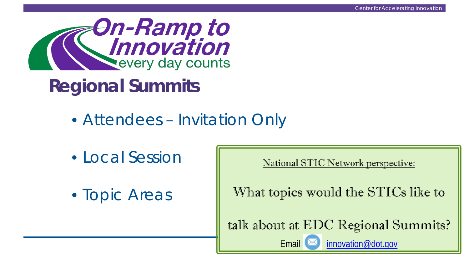3



## **Regional Summits**

- Attendees Invitation Only
- Local Session
- Topic Areas

National STIC Network perspective:

What topics would the STICs like to

talk about at EDC Regional Summits?

Email  $\boxtimes$  [innovation@dot.gov](mailto:innovation@dot.gov)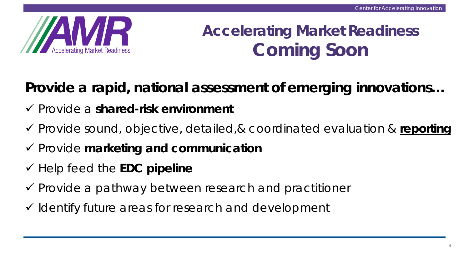

### **Accelerating Market Readiness Coming Soon**

*Provide a rapid, national assessment of emerging innovations…*

- Provide a **shared-risk environment**
- Provide sound, objective, detailed,& coordinated evaluation & **reporting**
- Provide **marketing and communication**
- Help feed the **EDC pipeline**
- $\checkmark$  Provide a pathway between research and practitioner
- $\checkmark$  Identify future areas for research and development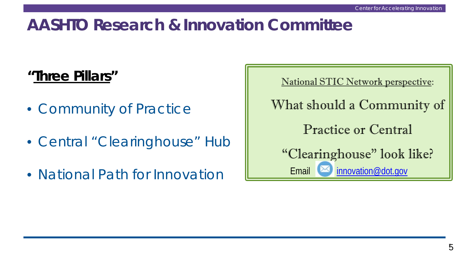#### **AASHTO Research & Innovation Committee**

#### **"Three Pillars"**

- Community of Practice
- Central "Clearinghouse" Hub
- National Path for Innovation

National STIC Network perspective: What should a Community of Practice or Central "Clearinghouse" look like? Email  $\boxtimes$  [innovation@dot.gov](mailto:innovation@dot.gov)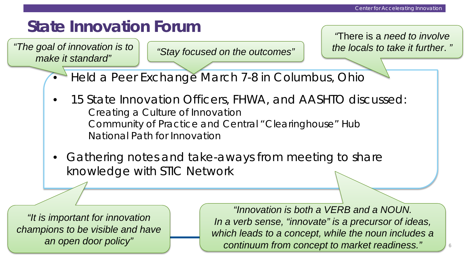#### **State Innovation Forum**

"The goal of innovation is to  $\int$  "Stoy fee used an the eutermore"  $\int$  the locals to take it further. " *make it standard" "Stay focused on the outcomes"*

*"*There is a *need to involve* 

- Held a Peer Exchange March 7-8 in Columbus, Ohio
- 15 State Innovation Officers, FHWA, and AASHTO discussed: *Creating a Culture of Innovation Community of Practice and Central "Clearinghouse" Hub National Path for Innovation*
- Gathering notes and take-aways from meeting to share knowledge with STIC Network

*"It is important for innovation champions to be visible and have an open door policy"*

*"Innovation is both a VERB and a NOUN. In a verb sense, "innovate" is a precursor of ideas, which leads to a concept, while the noun includes a continuum from concept to market readiness."*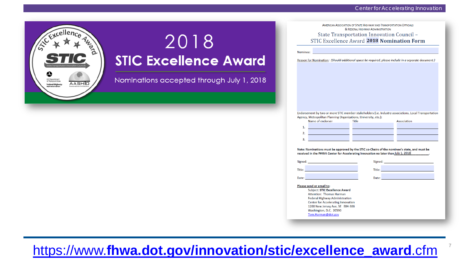

### 2018 **STIC Excellence Award**

Nominations accepted through July 1, 2018

AMERICAN ASSOCIATION OF STATE HIGHWAY AND TRANSPORTATION OFFICIALS & EEDERAL HIGHWAY ADMINISTRATION State Transportation Innovation Council -STIC Excellence Award 2018 Nomination Form

Nominee

Reason for Nomination: (Should additional space be required, please include in a separate document.)

Endorsement by two or more STIC member stakeholders (i.e. Industry associations, Local Transportation Agency, Metropolitan Planning Organizations, University, etc.):

| Name of endorser |  | Title | Association |
|------------------|--|-------|-------------|
|                  |  |       |             |
|                  |  |       |             |
|                  |  |       |             |
|                  |  |       |             |

Note: Nominations must be approved by the STIC co-Chairs of the nominee's state, and must be received in the FHWA Center for Accelerating Innovation no later than July 1, 2018

| Signed: _____________________________                                                                                | Signed: <u>_______________</u>           |
|----------------------------------------------------------------------------------------------------------------------|------------------------------------------|
| <u>Fitle: Electronic and the contract of the contract of the contract of the contract of the contract of the con</u> | Title: <u>__________________________</u> |
| Date: <u>_________________________________</u>                                                                       |                                          |
| Please send or email to:<br><b>Subject: STIC Excellence Award</b>                                                    |                                          |
| <b>Attention: Thomas Harman</b>                                                                                      |                                          |
| <b>Federal Highway Administration</b>                                                                                |                                          |
| <b>Center for Accelerating Innovation</b>                                                                            |                                          |
| 1200 New Jersey Ave, SE E84-306                                                                                      |                                          |

Washington, D.C. 20590 Tom.Harman@dot.gov

7

https://www.**[fhwa.dot.gov/innovation/stic/excellence\\_award](https://www.fhwa.dot.gov/innovation/stic/excellence_award.cfm)**.cfm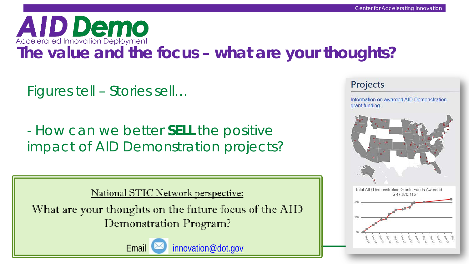

### **The value and the focus – what are your thoughts?**

Figures tell – Stories sell…

- How can we better *SELL* the positive impact of AID Demonstration projects?

National STIC Network perspective:

What are your thoughts on the future focus of the AID Demonstration Program?



#### Projects